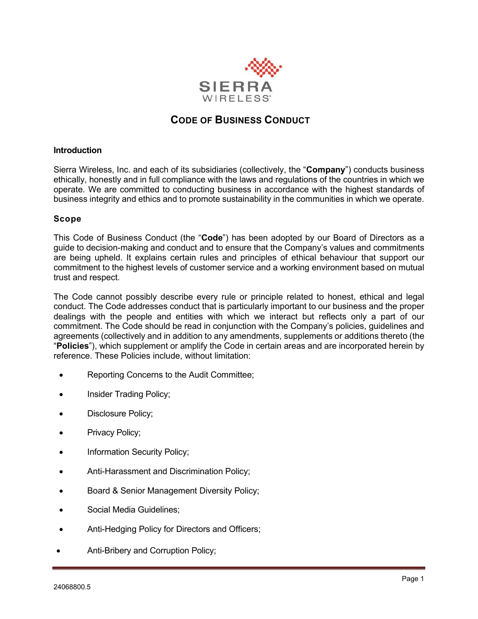

# **CODE OF BUSINESS CONDUCT**

### **Introduction**

Sierra Wireless, Inc. and each of its subsidiaries (collectively, the "**Company**") conducts business ethically, honestly and in full compliance with the laws and regulations of the countries in which we operate. We are committed to conducting business in accordance with the highest standards of business integrity and ethics and to promote sustainability in the communities in which we operate.

### **Scope**

This Code of Business Conduct (the "**Code**") has been adopted by our Board of Directors as a guide to decision-making and conduct and to ensure that the Company's values and commitments are being upheld. It explains certain rules and principles of ethical behaviour that support our commitment to the highest levels of customer service and a working environment based on mutual trust and respect.

The Code cannot possibly describe every rule or principle related to honest, ethical and legal conduct. The Code addresses conduct that is particularly important to our business and the proper dealings with the people and entities with which we interact but reflects only a part of our commitment. The Code should be read in conjunction with the Company's policies, guidelines and agreements (collectively and in addition to any amendments, supplements or additions thereto (the "**Policies**"), which supplement or amplify the Code in certain areas and are incorporated herein by reference. These Policies include, without limitation:

- Reporting Concerns to the Audit Committee;
- Insider Trading Policy;
- Disclosure Policy;
- Privacy Policy;
- Information Security Policy;
- Anti-Harassment and Discrimination Policy;
- Board & Senior Management Diversity Policy;
- Social Media Guidelines:
- Anti-Hedging Policy for Directors and Officers;
- Anti-Bribery and Corruption Policy;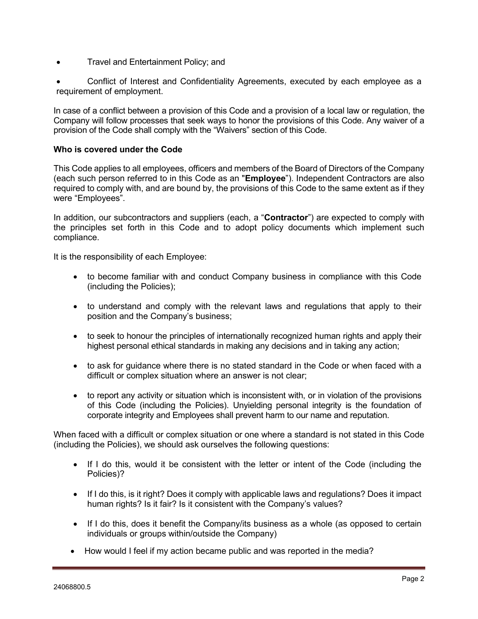- Travel and Entertainment Policy; and
- Conflict of Interest and Confidentiality Agreements, executed by each employee as a requirement of employment.

In case of a conflict between a provision of this Code and a provision of a local law or regulation, the Company will follow processes that seek ways to honor the provisions of this Code. Any waiver of a provision of the Code shall comply with the "Waivers" section of this Code.

# **Who is covered under the Code**

This Code applies to all employees, officers and members of the Board of Directors of the Company (each such person referred to in this Code as an "**Employee**"). Independent Contractors are also required to comply with, and are bound by, the provisions of this Code to the same extent as if they were "Employees".

In addition, our subcontractors and suppliers (each, a "**Contractor**") are expected to comply with the principles set forth in this Code and to adopt policy documents which implement such compliance.

It is the responsibility of each Employee:

- to become familiar with and conduct Company business in compliance with this Code (including the Policies);
- to understand and comply with the relevant laws and regulations that apply to their position and the Company's business;
- to seek to honour the principles of internationally recognized human rights and apply their highest personal ethical standards in making any decisions and in taking any action;
- to ask for guidance where there is no stated standard in the Code or when faced with a difficult or complex situation where an answer is not clear;
- to report any activity or situation which is inconsistent with, or in violation of the provisions of this Code (including the Policies). Unyielding personal integrity is the foundation of corporate integrity and Employees shall prevent harm to our name and reputation.

When faced with a difficult or complex situation or one where a standard is not stated in this Code (including the Policies), we should ask ourselves the following questions:

- If I do this, would it be consistent with the letter or intent of the Code (including the Policies)?
- If I do this, is it right? Does it comply with applicable laws and regulations? Does it impact human rights? Is it fair? Is it consistent with the Company's values?
- If I do this, does it benefit the Company/its business as a whole (as opposed to certain individuals or groups within/outside the Company)
- How would I feel if my action became public and was reported in the media?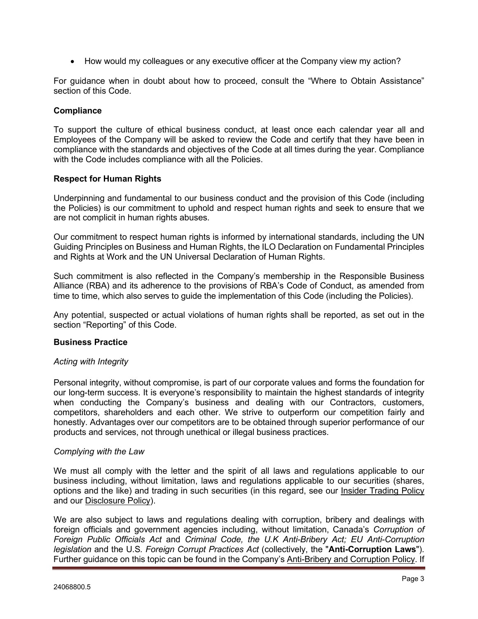• How would my colleagues or any executive officer at the Company view my action?

For guidance when in doubt about how to proceed, consult the "Where to Obtain Assistance" section of this Code.

### **Compliance**

To support the culture of ethical business conduct, at least once each calendar year all and Employees of the Company will be asked to review the Code and certify that they have been in compliance with the standards and objectives of the Code at all times during the year. Compliance with the Code includes compliance with all the Policies.

### **Respect for Human Rights**

Underpinning and fundamental to our business conduct and the provision of this Code (including the Policies) is our commitment to uphold and respect human rights and seek to ensure that we are not complicit in human rights abuses.

Our commitment to respect human rights is informed by international standards, including the UN Guiding Principles on Business and Human Rights, the ILO Declaration on Fundamental Principles and Rights at Work and the UN Universal Declaration of Human Rights.

Such commitment is also reflected in the Company's membership in the Responsible Business Alliance (RBA) and its adherence to the provisions of RBA's Code of Conduct, as amended from time to time, which also serves to guide the implementation of this Code (including the Policies).

Any potential, suspected or actual violations of human rights shall be reported, as set out in the section "Reporting" of this Code.

### **Business Practice**

### *Acting with Integrity*

Personal integrity, without compromise, is part of our corporate values and forms the foundation for our long-term success. It is everyone's responsibility to maintain the highest standards of integrity when conducting the Company's business and dealing with our Contractors, customers, competitors, shareholders and each other. We strive to outperform our competition fairly and honestly. Advantages over our competitors are to be obtained through superior performance of our products and services, not through unethical or illegal business practices.

### *Complying with the Law*

We must all comply with the letter and the spirit of all laws and regulations applicable to our business including, without limitation, laws and regulations applicable to our securities (shares, options and the like) and trading in such securities (in this regard, see our Insider Trading Policy and our Disclosure Policy).

We are also subject to laws and regulations dealing with corruption, bribery and dealings with foreign officials and government agencies including, without limitation, Canada's *Corruption of Foreign Public Officials Act* and *Criminal Code, the U.K Anti-Bribery Act; EU Anti-Corruption legislation* and the U.S*. Foreign Corrupt Practices Act* (collectively, the "**Anti-Corruption Laws**"). Further guidance on this topic can be found in the Company's Anti-Bribery and Corruption Policy. If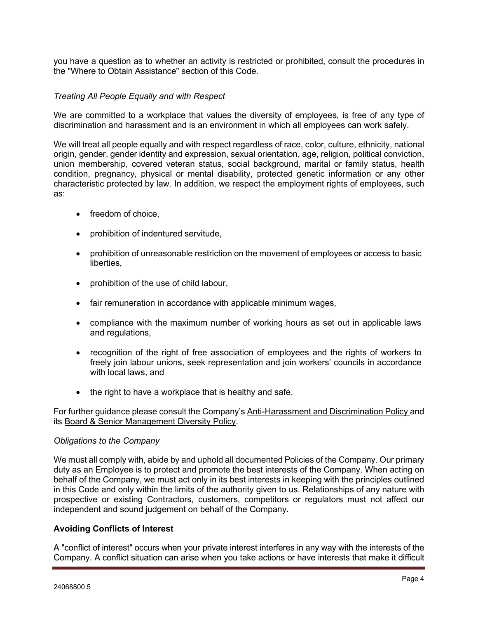you have a question as to whether an activity is restricted or prohibited, consult the procedures in the "Where to Obtain Assistance" section of this Code.

# *Treating All People Equally and with Respect*

We are committed to a workplace that values the diversity of employees, is free of any type of discrimination and harassment and is an environment in which all employees can work safely.

We will treat all people equally and with respect regardless of race, color, culture, ethnicity, national origin, gender, gender identity and expression, sexual orientation, age, religion, political conviction, union membership, covered veteran status, social background, marital or family status, health condition, pregnancy, physical or mental disability, protected genetic information or any other characteristic protected by law. In addition, we respect the employment rights of employees, such as:

- freedom of choice,
- prohibition of indentured servitude,
- prohibition of unreasonable restriction on the movement of employees or access to basic liberties,
- prohibition of the use of child labour,
- fair remuneration in accordance with applicable minimum wages,
- compliance with the maximum number of working hours as set out in applicable laws and regulations,
- recognition of the right of free association of employees and the rights of workers to freely join labour unions, seek representation and join workers' councils in accordance with local laws, and
- the right to have a workplace that is healthy and safe.

For further guidance please consult the Company's Anti-Harassment and Discrimination Policy and its Board & Senior Management Diversity Policy.

### *Obligations to the Company*

We must all comply with, abide by and uphold all documented Policies of the Company. Our primary duty as an Employee is to protect and promote the best interests of the Company. When acting on behalf of the Company, we must act only in its best interests in keeping with the principles outlined in this Code and only within the limits of the authority given to us. Relationships of any nature with prospective or existing Contractors, customers, competitors or regulators must not affect our independent and sound judgement on behalf of the Company.

# **Avoiding Conflicts of Interest**

A "conflict of interest" occurs when your private interest interferes in any way with the interests of the Company. A conflict situation can arise when you take actions or have interests that make it difficult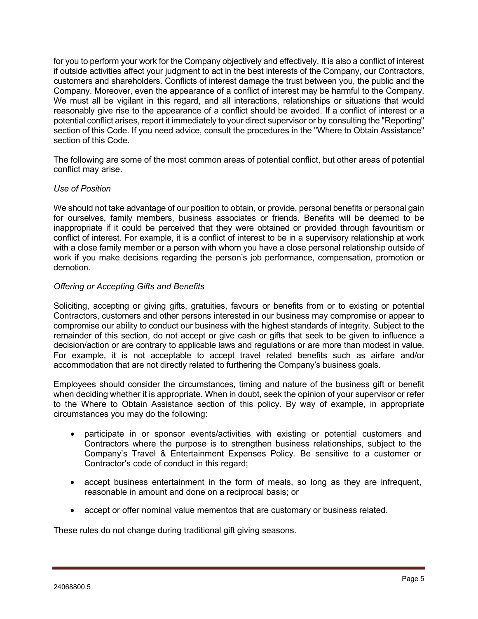for you to perform your work for the Company objectively and effectively. It is also a conflict of interest if outside activities affect your judgment to act in the best interests of the Company, our Contractors, customers and shareholders. Conflicts of interest damage the trust between you, the public and the Company. Moreover, even the appearance of a conflict of interest may be harmful to the Company. We must all be vigilant in this regard, and all interactions, relationships or situations that would reasonably give rise to the appearance of a conflict should be avoided. If a conflict of interest or a potential conflict arises, report it immediately to your direct supervisor or by consulting the "Reporting" section of this Code. If you need advice, consult the procedures in the "Where to Obtain Assistance" section of this Code.

The following are some of the most common areas of potential conflict, but other areas of potential conflict may arise.

### *Use of Position*

We should not take advantage of our position to obtain, or provide, personal benefits or personal gain for ourselves, family members, business associates or friends. Benefits will be deemed to be inappropriate if it could be perceived that they were obtained or provided through favouritism or conflict of interest. For example, it is a conflict of interest to be in a supervisory relationship at work with a close family member or a person with whom you have a close personal relationship outside of work if you make decisions regarding the person's job performance, compensation, promotion or demotion.

### *Offering or Accepting Gifts and Benefits*

Soliciting, accepting or giving gifts, gratuities, favours or benefits from or to existing or potential Contractors, customers and other persons interested in our business may compromise or appear to compromise our ability to conduct our business with the highest standards of integrity. Subject to the remainder of this section, do not accept or give cash or gifts that seek to be given to influence a decision/action or are contrary to applicable laws and regulations or are more than modest in value. For example, it is not acceptable to accept travel related benefits such as airfare and/or accommodation that are not directly related to furthering the Company's business goals.

Employees should consider the circumstances, timing and nature of the business gift or benefit when deciding whether it is appropriate. When in doubt, seek the opinion of your supervisor or refer to the Where to Obtain Assistance section of this policy. By way of example, in appropriate circumstances you may do the following:

- participate in or sponsor events/activities with existing or potential customers and Contractors where the purpose is to strengthen business relationships, subject to the Company's Travel & Entertainment Expenses Policy. Be sensitive to a customer or Contractor's code of conduct in this regard;
- accept business entertainment in the form of meals, so long as they are infrequent, reasonable in amount and done on a reciprocal basis; or
- accept or offer nominal value mementos that are customary or business related.

These rules do not change during traditional gift giving seasons.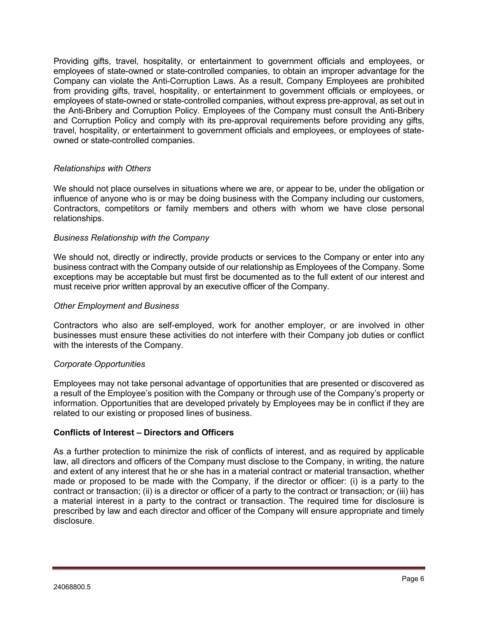Providing gifts, travel, hospitality, or entertainment to government officials and employees, or employees of state-owned or state-controlled companies, to obtain an improper advantage for the Company can violate the Anti-Corruption Laws. As a result, Company Employees are prohibited from providing gifts, travel, hospitality, or entertainment to government officials or employees, or employees of state-owned or state-controlled companies, without express pre-approval, as set out in the Anti-Bribery and Corruption Policy. Employees of the Company must consult the Anti-Bribery and Corruption Policy and comply with its pre-approval requirements before providing any gifts, travel, hospitality, or entertainment to government officials and employees, or employees of stateowned or state-controlled companies.

### *Relationships with Others*

We should not place ourselves in situations where we are, or appear to be, under the obligation or influence of anyone who is or may be doing business with the Company including our customers, Contractors, competitors or family members and others with whom we have close personal relationships.

### *Business Relationship with the Company*

We should not, directly or indirectly, provide products or services to the Company or enter into any business contract with the Company outside of our relationship as Employees of the Company. Some exceptions may be acceptable but must first be documented as to the full extent of our interest and must receive prior written approval by an executive officer of the Company.

### *Other Employment and Business*

Contractors who also are self-employed, work for another employer, or are involved in other businesses must ensure these activities do not interfere with their Company job duties or conflict with the interests of the Company.

### *Corporate Opportunities*

Employees may not take personal advantage of opportunities that are presented or discovered as a result of the Employee's position with the Company or through use of the Company's property or information. Opportunities that are developed privately by Employees may be in conflict if they are related to our existing or proposed lines of business.

# **Conflicts of Interest – Directors and Officers**

As a further protection to minimize the risk of conflicts of interest, and as required by applicable law, all directors and officers of the Company must disclose to the Company, in writing, the nature and extent of any interest that he or she has in a material contract or material transaction, whether made or proposed to be made with the Company, if the director or officer: (i) is a party to the contract or transaction; (ii) is a director or officer of a party to the contract or transaction; or (iii) has a material interest in a party to the contract or transaction. The required time for disclosure is prescribed by law and each director and officer of the Company will ensure appropriate and timely disclosure.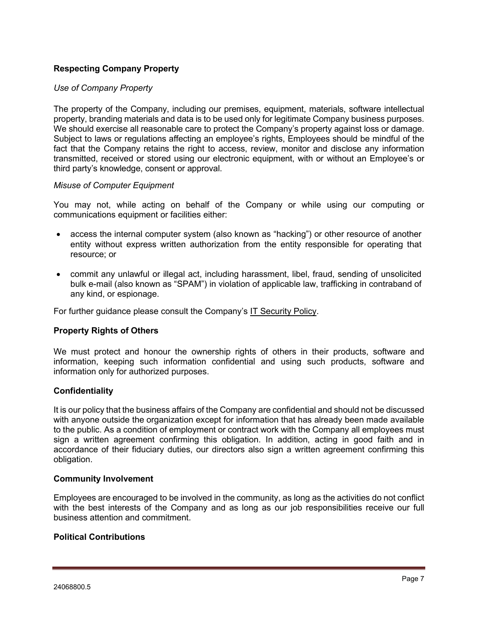# **Respecting Company Property**

### *Use of Company Property*

The property of the Company, including our premises, equipment, materials, software intellectual property, branding materials and data is to be used only for legitimate Company business purposes. We should exercise all reasonable care to protect the Company's property against loss or damage. Subject to laws or regulations affecting an employee's rights, Employees should be mindful of the fact that the Company retains the right to access, review, monitor and disclose any information transmitted, received or stored using our electronic equipment, with or without an Employee's or third party's knowledge, consent or approval.

### *Misuse of Computer Equipment*

You may not, while acting on behalf of the Company or while using our computing or communications equipment or facilities either:

- access the internal computer system (also known as "hacking") or other resource of another entity without express written authorization from the entity responsible for operating that resource; or
- commit any unlawful or illegal act, including harassment, libel, fraud, sending of unsolicited bulk e-mail (also known as "SPAM") in violation of applicable law, trafficking in contraband of any kind, or espionage.

For further guidance please consult the Company's IT Security Policy.

### **Property Rights of Others**

We must protect and honour the ownership rights of others in their products, software and information, keeping such information confidential and using such products, software and information only for authorized purposes.

### **Confidentiality**

It is our policy that the business affairs of the Company are confidential and should not be discussed with anyone outside the organization except for information that has already been made available to the public. As a condition of employment or contract work with the Company all employees must sign a written agreement confirming this obligation. In addition, acting in good faith and in accordance of their fiduciary duties, our directors also sign a written agreement confirming this obligation.

### **Community Involvement**

Employees are encouraged to be involved in the community, as long as the activities do not conflict with the best interests of the Company and as long as our job responsibilities receive our full business attention and commitment.

### **Political Contributions**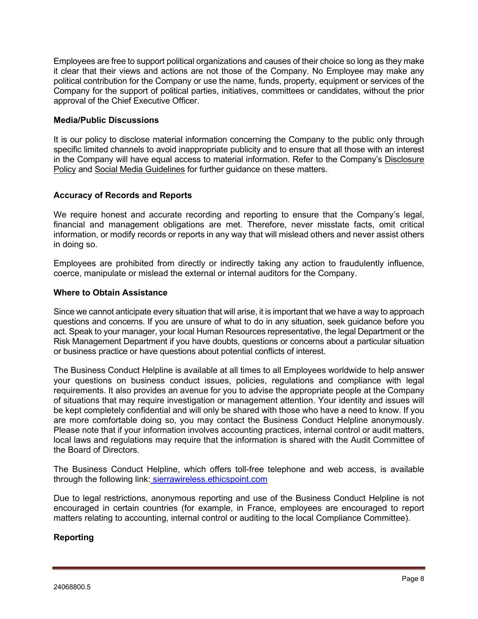Employees are free to support political organizations and causes of their choice so long as they make it clear that their views and actions are not those of the Company. No Employee may make any political contribution for the Company or use the name, funds, property, equipment or services of the Company for the support of political parties, initiatives, committees or candidates, without the prior approval of the Chief Executive Officer.

### **Media/Public Discussions**

It is our policy to disclose material information concerning the Company to the public only through specific limited channels to avoid inappropriate publicity and to ensure that all those with an interest in the Company will have equal access to material information. Refer to the Company's Disclosure Policy and Social Media Guidelines for further guidance on these matters.

# **Accuracy of Records and Reports**

We require honest and accurate recording and reporting to ensure that the Company's legal, financial and management obligations are met. Therefore, never misstate facts, omit critical information, or modify records or reports in any way that will mislead others and never assist others in doing so.

Employees are prohibited from directly or indirectly taking any action to fraudulently influence, coerce, manipulate or mislead the external or internal auditors for the Company.

### **Where to Obtain Assistance**

Since we cannot anticipate every situation that will arise, it is important that we have a way to approach questions and concerns. If you are unsure of what to do in any situation, seek guidance before you act. Speak to your manager, your local Human Resources representative, the legal Department or the Risk Management Department if you have doubts, questions or concerns about a particular situation or business practice or have questions about potential conflicts of interest.

The Business Conduct Helpline is available at all times to all Employees worldwide to help answer your questions on business conduct issues, policies, regulations and compliance with legal requirements. It also provides an avenue for you to advise the appropriate people at the Company of situations that may require investigation or management attention. Your identity and issues will be kept completely confidential and will only be shared with those who have a need to know. If you are more comfortable doing so, you may contact the Business Conduct Helpline anonymously. Please note that if your information involves accounting practices, internal control or audit matters, local laws and regulations may require that the information is shared with the Audit Committee of the Board of Directors.

The Business Conduct Helpline, which offers toll-free telephone and web access, is available through the following link: [sierrawireless.ethicspoint.com](http://www.sierrawireless.ethicspoint.com/)

Due to legal restrictions, anonymous reporting and use of the Business Conduct Helpline is not encouraged in certain countries (for example, in France, employees are encouraged to report matters relating to accounting, internal control or auditing to the local Compliance Committee).

# **Reporting**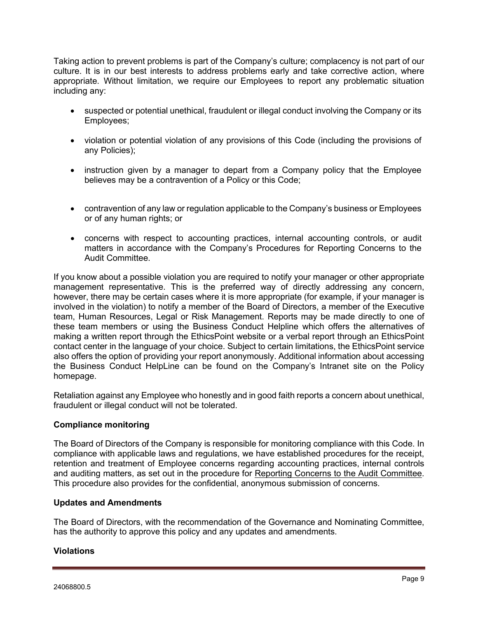Taking action to prevent problems is part of the Company's culture; complacency is not part of our culture. It is in our best interests to address problems early and take corrective action, where appropriate. Without limitation, we require our Employees to report any problematic situation including any:

- suspected or potential unethical, fraudulent or illegal conduct involving the Company or its Employees;
- violation or potential violation of any provisions of this Code (including the provisions of any Policies);
- instruction given by a manager to depart from a Company policy that the Employee believes may be a contravention of a Policy or this Code;
- contravention of any law or regulation applicable to the Company's business or Employees or of any human rights; or
- concerns with respect to accounting practices, internal accounting controls, or audit matters in accordance with the Company's Procedures for Reporting Concerns to the Audit Committee.

If you know about a possible violation you are required to notify your manager or other appropriate management representative. This is the preferred way of directly addressing any concern, however, there may be certain cases where it is more appropriate (for example, if your manager is involved in the violation) to notify a member of the Board of Directors, a member of the Executive team, Human Resources, Legal or Risk Management. Reports may be made directly to one of these team members or using the Business Conduct Helpline which offers the alternatives of making a written report through the EthicsPoint website or a verbal report through an EthicsPoint contact center in the language of your choice. Subject to certain limitations, the EthicsPoint service also offers the option of providing your report anonymously. Additional information about accessing the Business Conduct HelpLine can be found on the Company's Intranet site on the Policy homepage.

Retaliation against any Employee who honestly and in good faith reports a concern about unethical, fraudulent or illegal conduct will not be tolerated.

# **Compliance monitoring**

The Board of Directors of the Company is responsible for monitoring compliance with this Code. In compliance with applicable laws and regulations, we have established procedures for the receipt, retention and treatment of Employee concerns regarding accounting practices, internal controls and auditing matters, as set out in the procedure for Reporting Concerns to the Audit Committee. This procedure also provides for the confidential, anonymous submission of concerns.

# **Updates and Amendments**

The Board of Directors, with the recommendation of the Governance and Nominating Committee, has the authority to approve this policy and any updates and amendments.

# **Violations**